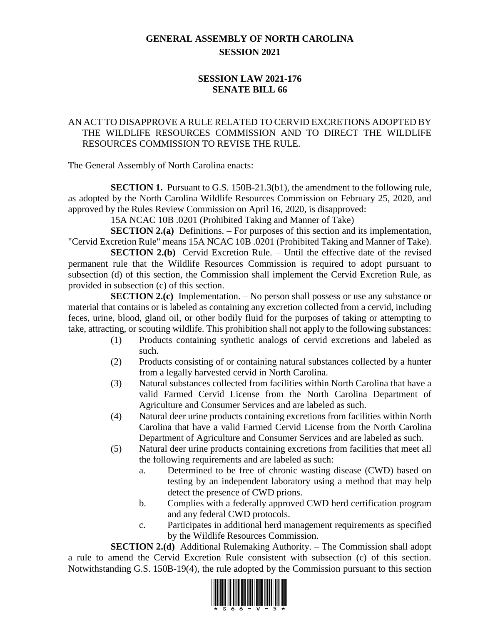## **GENERAL ASSEMBLY OF NORTH CAROLINA SESSION 2021**

## **SESSION LAW 2021-176 SENATE BILL 66**

## AN ACT TO DISAPPROVE A RULE RELATED TO CERVID EXCRETIONS ADOPTED BY THE WILDLIFE RESOURCES COMMISSION AND TO DIRECT THE WILDLIFE RESOURCES COMMISSION TO REVISE THE RULE.

The General Assembly of North Carolina enacts:

**SECTION 1.** Pursuant to G.S. 150B-21.3(b1), the amendment to the following rule, as adopted by the North Carolina Wildlife Resources Commission on February 25, 2020, and approved by the Rules Review Commission on April 16, 2020, is disapproved:

15A NCAC 10B .0201 (Prohibited Taking and Manner of Take)

**SECTION 2.(a)** Definitions. – For purposes of this section and its implementation, "Cervid Excretion Rule" means 15A NCAC 10B .0201 (Prohibited Taking and Manner of Take).

**SECTION 2.(b)** Cervid Excretion Rule. – Until the effective date of the revised permanent rule that the Wildlife Resources Commission is required to adopt pursuant to subsection (d) of this section, the Commission shall implement the Cervid Excretion Rule, as provided in subsection (c) of this section.

**SECTION 2.(c)** Implementation. – No person shall possess or use any substance or material that contains or is labeled as containing any excretion collected from a cervid, including feces, urine, blood, gland oil, or other bodily fluid for the purposes of taking or attempting to take, attracting, or scouting wildlife. This prohibition shall not apply to the following substances:

- (1) Products containing synthetic analogs of cervid excretions and labeled as such.
- (2) Products consisting of or containing natural substances collected by a hunter from a legally harvested cervid in North Carolina.
- (3) Natural substances collected from facilities within North Carolina that have a valid Farmed Cervid License from the North Carolina Department of Agriculture and Consumer Services and are labeled as such.
- (4) Natural deer urine products containing excretions from facilities within North Carolina that have a valid Farmed Cervid License from the North Carolina Department of Agriculture and Consumer Services and are labeled as such.
- (5) Natural deer urine products containing excretions from facilities that meet all the following requirements and are labeled as such:
	- a. Determined to be free of chronic wasting disease (CWD) based on testing by an independent laboratory using a method that may help detect the presence of CWD prions.
	- b. Complies with a federally approved CWD herd certification program and any federal CWD protocols.
	- c. Participates in additional herd management requirements as specified by the Wildlife Resources Commission.

**SECTION 2.(d)** Additional Rulemaking Authority. – The Commission shall adopt a rule to amend the Cervid Excretion Rule consistent with subsection (c) of this section. Notwithstanding G.S. 150B-19(4), the rule adopted by the Commission pursuant to this section